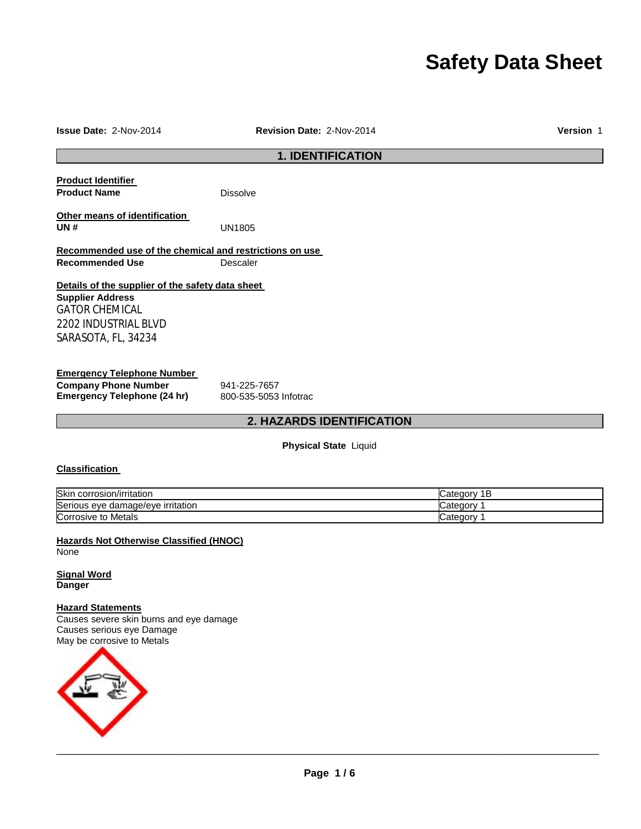# **Safety Data Sheet**

| <b>Issue Date: 2-Nov-2014</b>                           | <b>Revision Date: 2-Nov-2014</b> | <b>Version 1</b> |
|---------------------------------------------------------|----------------------------------|------------------|
| <b>1. IDENTIFICATION</b>                                |                                  |                  |
| <b>Product Identifier</b>                               |                                  |                  |
| <b>Product Name</b>                                     | <b>Dissolve</b>                  |                  |
| Other means of identification                           |                                  |                  |
| <b>UN#</b>                                              | <b>UN1805</b>                    |                  |
| Recommended use of the chemical and restrictions on use |                                  |                  |
| <b>Recommended Use</b>                                  | Descaler                         |                  |
| Details of the supplier of the safety data sheet        |                                  |                  |
| <b>Supplier Address</b>                                 |                                  |                  |
| <b>GATOR CHEMICAL</b>                                   |                                  |                  |
| <b>2202 INDUSTRIAL BLVD</b>                             |                                  |                  |
| SARASOTA, FL, 34234                                     |                                  |                  |
| <b>Emergency Telephone Number</b>                       |                                  |                  |
| <b>Company Phone Number</b>                             | 941-225-7657                     |                  |
| <b>Emergency Telephone (24 hr)</b>                      | 800-535-5053 Infotrac            |                  |

# **2. HAZARDS IDENTIFICATION**

**Physical State** Liquid

# **Classification**

| <b>Skin</b><br>corrosion/irritation ו | Jategor  |
|---------------------------------------|----------|
| Serious eye damage/eye irritation     | -ategor  |
| Corrosive to Metals                   | : ategor |

**Hazards Not Otherwise Classified (HNOC)** None

**Signal Word Danger** 

# **Hazard Statements**

Causes severe skin burns and eye damage Causes serious eye Damage May be corrosive to Metals

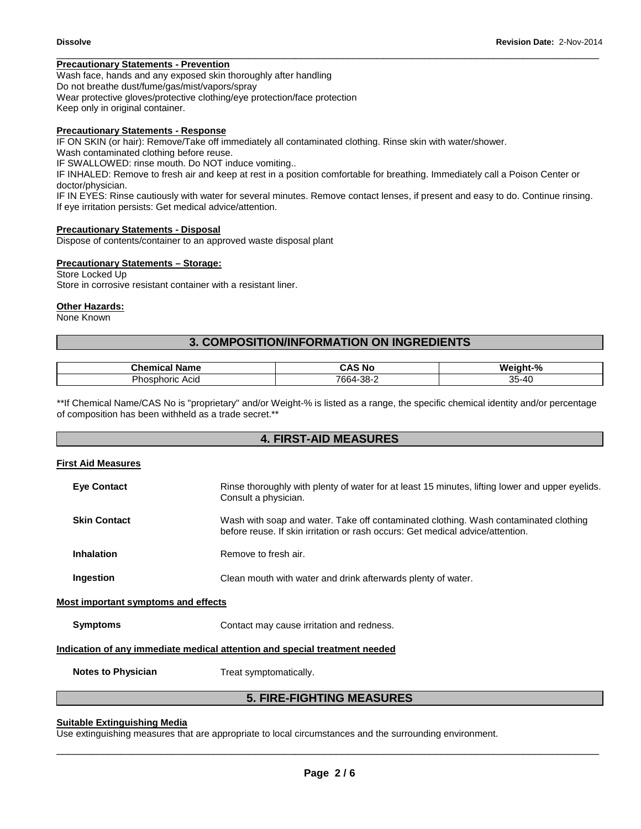# **Precautionary Statements - Prevention**

Wash face, hands and any exposed skin thoroughly after handling Do not breathe dust/fume/gas/mist/vapors/spray Wear protective gloves/protective clothing/eye protection/face protection Keep only in original container.

# **Precautionary Statements - Response**

IF ON SKIN (or hair): Remove/Take off immediately all contaminated clothing. Rinse skin with water/shower.

Wash contaminated clothing before reuse.

IF SWALLOWED: rinse mouth. Do NOT induce vomiting..

IF INHALED: Remove to fresh air and keep at rest in a position comfortable for breathing. Immediately call a Poison Center or doctor/physician.

IF IN EYES: Rinse cautiously with water for several minutes. Remove contact lenses, if present and easy to do. Continue rinsing. If eye irritation persists: Get medical advice/attention.

\_\_\_\_\_\_\_\_\_\_\_\_\_\_\_\_\_\_\_\_\_\_\_\_\_\_\_\_\_\_\_\_\_\_\_\_\_\_\_\_\_\_\_\_\_\_\_\_\_\_\_\_\_\_\_\_\_\_\_\_\_\_\_\_\_\_\_\_\_\_\_\_\_\_\_\_\_\_\_\_\_\_\_\_\_\_\_\_\_\_\_\_\_

# **Precautionary Statements - Disposal**

Dispose of contents/container to an approved waste disposal plant

# **Precautionary Statements – Storage:**

Store Locked Up Store in corrosive resistant container with a resistant liner.

#### **Other Hazards:**

None Known

# **3. COMPOSITION/INFORMATION ON INGREDIENTS**

| 7 <sub>h</sub><br>Name<br>л | . .<br>5 No<br>- Л<br>. . | Weight-%                                                   |
|-----------------------------|---------------------------|------------------------------------------------------------|
| Dh.<br>Acia<br>הוסחי־       | 7664-38-∠                 | OE.<br>$\overline{\phantom{a}}$<br><b>A-7P</b><br>ບບ<br>≖⊾ |

\*\*If Chemical Name/CAS No is "proprietary" and/or Weight-% is listed as a range, the specific chemical identity and/or percentage of composition has been withheld as a trade secret.\*\*

# **4. FIRST-AID MEASURES**

# **First Aid Measures**

| <b>Eve Contact</b>                         | Rinse thoroughly with plenty of water for at least 15 minutes, lifting lower and upper eyelids.<br>Consult a physician.                                                |  |
|--------------------------------------------|------------------------------------------------------------------------------------------------------------------------------------------------------------------------|--|
| <b>Skin Contact</b>                        | Wash with soap and water. Take off contaminated clothing. Wash contaminated clothing<br>before reuse. If skin irritation or rash occurs: Get medical advice/attention. |  |
| <b>Inhalation</b>                          | Remove to fresh air.                                                                                                                                                   |  |
| Ingestion                                  | Clean mouth with water and drink afterwards plenty of water.                                                                                                           |  |
| <b>Most important symptoms and effects</b> |                                                                                                                                                                        |  |
| <b>Symptoms</b>                            | Contact may cause irritation and redness.                                                                                                                              |  |
|                                            | Indication of any immediate medical attention and special treatment needed                                                                                             |  |
| <b>Notes to Physician</b>                  | Treat symptomatically.                                                                                                                                                 |  |

# **5. FIRE-FIGHTING MEASURES**

# **Suitable Extinguishing Media**

Use extinguishing measures that are appropriate to local circumstances and the surrounding environment.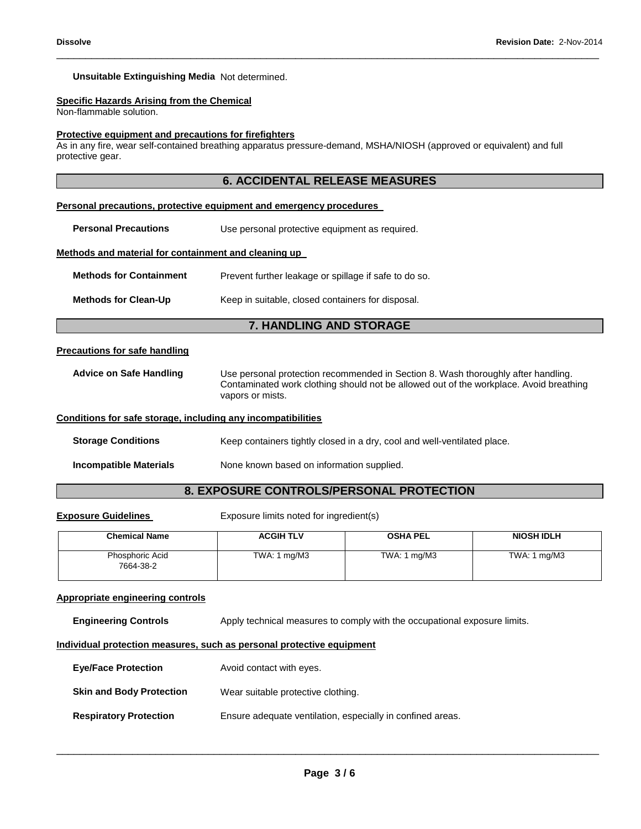# **Unsuitable Extinguishing Media** Not determined.

# **Specific Hazards Arising from the Chemical**

Non-flammable solution.

#### **Protective equipment and precautions for firefighters**

As in any fire, wear self-contained breathing apparatus pressure-demand, MSHA/NIOSH (approved or equivalent) and full protective gear.

\_\_\_\_\_\_\_\_\_\_\_\_\_\_\_\_\_\_\_\_\_\_\_\_\_\_\_\_\_\_\_\_\_\_\_\_\_\_\_\_\_\_\_\_\_\_\_\_\_\_\_\_\_\_\_\_\_\_\_\_\_\_\_\_\_\_\_\_\_\_\_\_\_\_\_\_\_\_\_\_\_\_\_\_\_\_\_\_\_\_\_\_\_

#### **Personal precautions, protective equipment and emergency procedures**

**Personal Precautions Use personal protective equipment as required.** 

#### **Methods and material for containment and cleaning up**

| <b>Methods for Containment</b> | Prevent further leakage or spillage if safe to do so. |
|--------------------------------|-------------------------------------------------------|
| <b>Methods for Clean-Up</b>    | Keep in suitable, closed containers for disposal.     |

# **7. HANDLING AND STORAGE**

#### **Precautions for safe handling**

**Advice on Safe Handling** Use personal protection recommended in Section 8. Wash thoroughly after handling. Contaminated work clothing should not be allowed out of the workplace. Avoid breathing vapors or mists.

#### **Conditions for safe storage, including any incompatibilities**

**Storage Conditions Keep containers tightly closed in a dry, cool and well-ventilated place.** 

**Incompatible Materials** None known based on information supplied.

# **8. EXPOSURE CONTROLS/PERSONAL PROTECTION**

**Exposure Guidelines Exposure limits noted for ingredient(s)** 

| <b>Chemical Name</b>         | <b>ACGIH TLV</b>              | <b>OSHA PEL</b> | <b>NIOSH IDLH</b>             |
|------------------------------|-------------------------------|-----------------|-------------------------------|
| Phosphoric Acid<br>7664-38-2 | TWA: $1 \text{ mg}/\text{M}3$ | TWA: 1 mg/M3    | TWA: $1 \text{ mg}/\text{M}3$ |

#### **Appropriate engineering controls**

**Engineering Controls** Apply technical measures to comply with the occupational exposure limits.

# **Individual protection measures, such as personal protective equipment**

| <b>Eye/Face Protection</b>      | Avoid contact with eyes.                                   |
|---------------------------------|------------------------------------------------------------|
| <b>Skin and Body Protection</b> | Wear suitable protective clothing.                         |
| <b>Respiratory Protection</b>   | Ensure adequate ventilation, especially in confined areas. |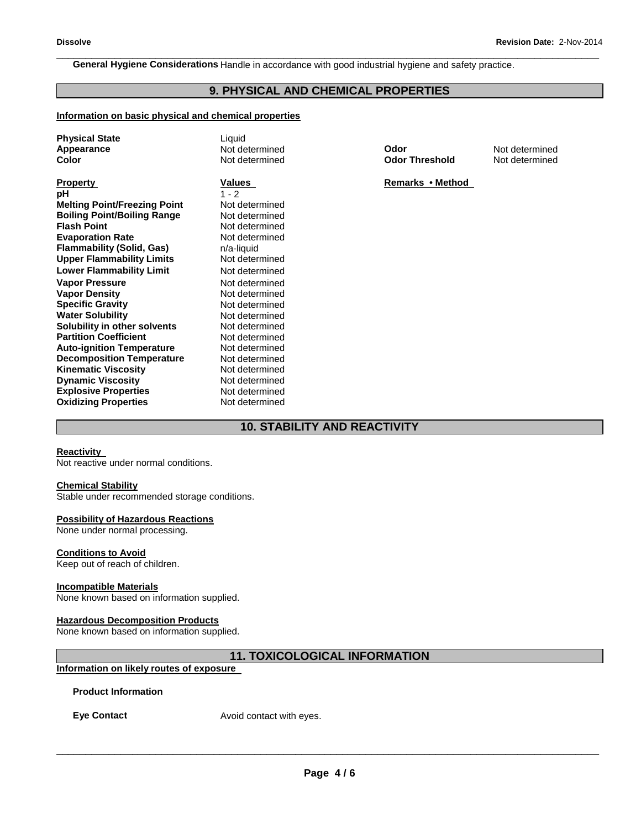**General Hygiene Considerations** Handle in accordance with good industrial hygiene and safety practice.

# **9. PHYSICAL AND CHEMICAL PROPERTIES**

\_\_\_\_\_\_\_\_\_\_\_\_\_\_\_\_\_\_\_\_\_\_\_\_\_\_\_\_\_\_\_\_\_\_\_\_\_\_\_\_\_\_\_\_\_\_\_\_\_\_\_\_\_\_\_\_\_\_\_\_\_\_\_\_\_\_\_\_\_\_\_\_\_\_\_\_\_\_\_\_\_\_\_\_\_\_\_\_\_\_\_\_\_

# **Information on basic physical and chemical properties**

| <b>Physical State</b><br><b>Appearance</b><br>Color                                                                                                                                                                                                                                                                                                                                                                                                                                                                                                                                             | Liquid<br>Not determined<br>Not determined                                                                                                                                                                                                                                                                                                                          |
|-------------------------------------------------------------------------------------------------------------------------------------------------------------------------------------------------------------------------------------------------------------------------------------------------------------------------------------------------------------------------------------------------------------------------------------------------------------------------------------------------------------------------------------------------------------------------------------------------|---------------------------------------------------------------------------------------------------------------------------------------------------------------------------------------------------------------------------------------------------------------------------------------------------------------------------------------------------------------------|
| <b>Property</b><br>рH<br><b>Melting Point/Freezing Point</b><br><b>Boiling Point/Boiling Range</b><br><b>Flash Point</b><br><b>Evaporation Rate</b><br>Flammability (Solid, Gas)<br><b>Upper Flammability Limits</b><br><b>Lower Flammability Limit</b><br><b>Vapor Pressure</b><br><b>Vapor Density</b><br><b>Specific Gravity</b><br><b>Water Solubility</b><br>Solubility in other solvents<br><b>Partition Coefficient</b><br><b>Auto-ignition Temperature</b><br><b>Decomposition Temperature</b><br><b>Kinematic Viscosity</b><br><b>Dynamic Viscosity</b><br><b>Explosive Properties</b> | Values<br>$1 - 2$<br>Not determined<br>Not determined<br>Not determined<br>Not determined<br>n/a-liquid<br>Not determined<br>Not determined<br>Not determined<br>Not determined<br>Not determined<br>Not determined<br>Not determined<br>Not determined<br>Not determined<br>Not determined<br>Not determined<br>Not determined<br>Not determined<br>Not determined |
| <b>Oxidizing Properties</b>                                                                                                                                                                                                                                                                                                                                                                                                                                                                                                                                                                     |                                                                                                                                                                                                                                                                                                                                                                     |

**Appearance** Not determined **Odor** Not determined ed **Color Threshold** Not determined

**Remarks • Method** 

# **10. STABILITY AND REACTIVITY**

#### **Reactivity**

Not reactive under normal conditions.

#### **Chemical Stability**

Stable under recommended storage conditions.

# **Possibility of Hazardous Reactions**

None under normal processing.

# **Conditions to Avoid**

Keep out of reach of children.

# **Incompatible Materials**

None known based on information supplied.

# **Hazardous Decomposition Products**

None known based on information supplied.

# **11. TOXICOLOGICAL INFORMATION**

# **Information on likely routes of exposure**

# **Product Information**

**Eye Contact Avoid contact with eyes.**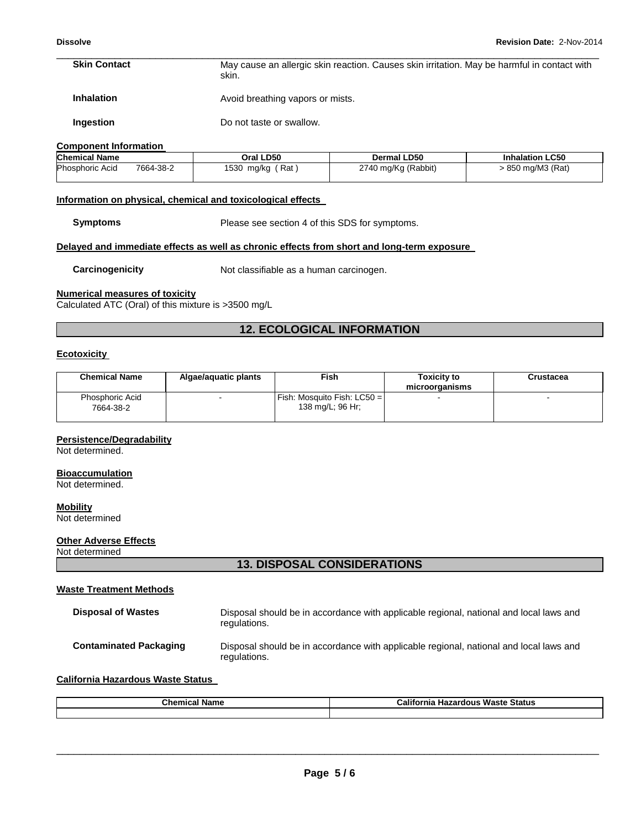#### \_\_\_\_\_\_\_\_\_\_\_\_\_\_\_\_\_\_\_\_\_\_\_\_\_\_\_\_\_\_\_\_\_\_\_\_\_\_\_\_\_\_\_\_\_\_\_\_\_\_\_\_\_\_\_\_\_\_\_\_\_\_\_\_\_\_\_\_\_\_\_\_\_\_\_\_\_\_\_\_\_\_\_\_\_\_\_\_\_\_\_\_\_ **Skin Contact** May cause an allergic skin reaction. Causes skin irritation. May be harmful in contact with skin.

**Inhalation Avoid breathing vapors or mists.** 

**Ingestion Do not taste or swallow.** 

#### **Component Information**

| <b>Chemical Name</b>   |           | Oral LD50         | <b>Dermal LD50</b>  | <b>Inhalation LC50</b> |
|------------------------|-----------|-------------------|---------------------|------------------------|
| <b>Phosphoric Acid</b> | 7664-38-2 | Rat<br>1530 mg/kg | 2740 mg/Kg (Rabbit) | 850 mg/M3 (Rat)        |

#### **Information on physical, chemical and toxicological effects**

**Symptoms** Please see section 4 of this SDS for symptoms.

#### **Delayed and immediate effects as well as chronic effects from short and long-term exposure**

**Carcinogenicity Not classifiable as a human carcinogen.** 

# **Numerical measures of toxicity**

Calculated ATC (Oral) of this mixture is >3500 mg/L

# **12. ECOLOGICAL INFORMATION**

# **Ecotoxicity**

| <b>Chemical Name</b>                | Algae/aguatic plants     | Fish .                                                    | <b>Toxicity to</b><br>microorganisms | Crustacea |
|-------------------------------------|--------------------------|-----------------------------------------------------------|--------------------------------------|-----------|
| <b>Phosphoric Acid</b><br>7664-38-2 | $\overline{\phantom{0}}$ | <b>IFish: Mosquito Fish: LC50 = I</b><br>138 mg/L; 96 Hr; |                                      |           |
|                                     |                          |                                                           |                                      |           |

# **Persistence/Degradability**

Not determined.

# **Bioaccumulation**

Not determined.

#### **Mobility**

Not determined

# **Other Adverse Effects**

Not determined

# **13. DISPOSAL CONSIDERATIONS**

#### **Waste Treatment Methods**

| <b>Disposal of Wastes</b>     | Disposal should be in accordance with applicable regional, national and local laws and<br>regulations. |
|-------------------------------|--------------------------------------------------------------------------------------------------------|
| <b>Contaminated Packaging</b> | Disposal should be in accordance with applicable regional, national and local laws and<br>regulations. |

# **California Hazardous Waste Status**

| <b>Chemical Name</b> | $\cdots$<br>California<br><b>Waste Status</b><br><b>Hazardous</b> |  |
|----------------------|-------------------------------------------------------------------|--|
|                      |                                                                   |  |